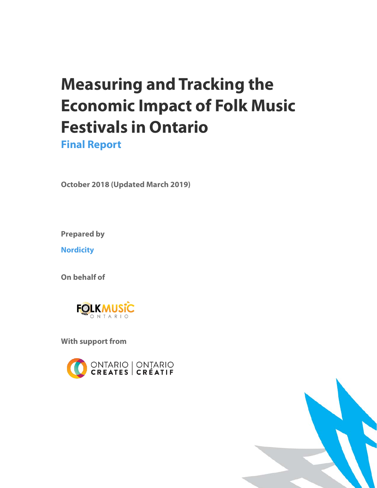# **Measuring and Tracking the Economic Impact of Folk Music Festivals in Ontario**

**Final Report**

**October 2018 (Updated March 2019)**

**Prepared by** 

**Nordicity** 

**On behalf of** 



**With support from**



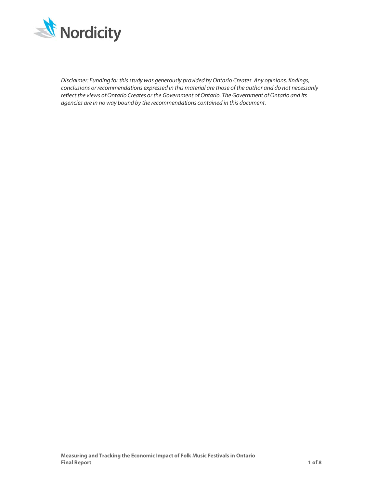

*Disclaimer: Funding for this study was generously provided by Ontario Creates. Any opinions, findings, conclusions or recommendations expressed in this material are those of the author and do not necessarily reflect the views of Ontario Creates or the Government of Ontario. The Government of Ontario and its agencies are in no way bound by the recommendations contained in this document.*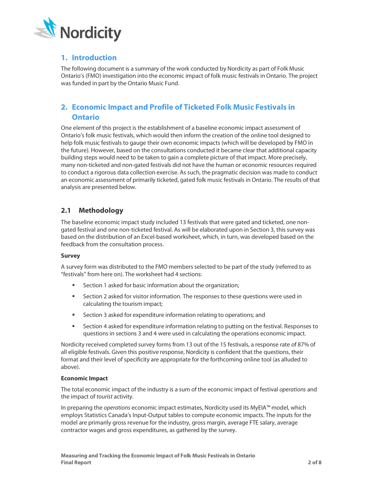

# **1. Introduction**

The following document is a summary of the work conducted by Nordicity as part of Folk Music Ontario's (FMO) investigation into the economic impact of folk music festivals in Ontario. The project was funded in part by the Ontario Music Fund.

# **2. Economic Impact and Profile of Ticketed Folk Music Festivals in Ontario**

One element of this project is the establishment of a baseline economic impact assessment of Ontario's folk music festivals, which would then inform the creation of the online tool designed to help folk music festivals to gauge their own economic impacts (which will be developed by FMO in the future). However, based on the consultations conducted it became clear that additional capacity building steps would need to be taken to gain a complete picture of that impact. More precisely, many non-ticketed and non-gated festivals did not have the human or economic resources required to conduct a rigorous data collection exercise. As such, the pragmatic decision was made to conduct an economic assessment of primarily ticketed, gated folk music festivals in Ontario. The results of that analysis are presented below.

## **2.1 Methodology**

The baseline economic impact study included 13 festivals that were gated and ticketed, one nongated festival and one non-ticketed festival. As will be elaborated upon in Section 3, this survey was based on the distribution of an Excel-based worksheet, which, in turn, was developed based on the feedback from the consultation process.

#### **Survey**

A survey form was distributed to the FMO members selected to be part of the study (referred to as "festivals" from here on). The worksheet had 4 sections:

- Section 1 asked for basic information about the organization;
- Section 2 asked for visitor information. The responses to these questions were used in calculating the tourism impact;
- **EXECT** Section 3 asked for expenditure information relating to operations; and
- Section 4 asked for expenditure information relating to putting on the festival. Responses to questions in sections 3 and 4 were used in calculating the operations economic impact.

Nordicity received completed survey forms from 13 out of the 15 festivals, a response rate of 87% of all eligible festivals. Given this positive response, Nordicity is confident that the questions, their format and their level of specificity are appropriate for the forthcoming online tool (as alluded to above).

#### **Economic Impact**

The total economic impact of the industry is a sum of the economic impact of festival *operations* and the impact of *tourist* activity.

In preparing the *operations* economic impact estimates, Nordicity used its MyEIA™ model, which employs Statistics Canada's Input-Output tables to compute economic impacts. The inputs for the model are primarily gross revenue for the industry, gross margin, average FTE salary, average contractor wages and gross expenditures, as gathered by the survey.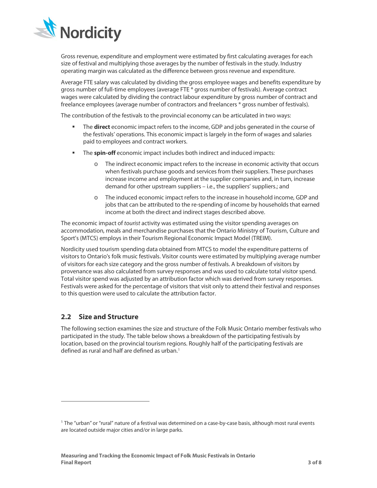

Gross revenue, expenditure and employment were estimated by first calculating averages for each size of festival and multiplying those averages by the number of festivals in the study. Industry operating margin was calculated as the difference between gross revenue and expenditure.

Average FTE salary was calculated by dividing the gross employee wages and benefits expenditure by gross number of full-time employees (average FTE \* gross number of festivals). Average contract wages were calculated by dividing the contract labour expenditure by gross number of contract and freelance employees (average number of contractors and freelancers \* gross number of festivals).

The contribution of the festivals to the provincial economy can be articulated in two ways:

- The **direct** economic impact refers to the income, GDP and jobs generated in the course of the festivals' operations. This economic impact is largely in the form of wages and salaries paid to employees and contract workers.
- The **spin-off** economic impact includes both indirect and induced impacts:
	- o The indirect economic impact refers to the increase in economic activity that occurs when festivals purchase goods and services from their suppliers. These purchases increase income and employment at the supplier companies and, in turn, increase demand for other upstream suppliers – i.e., the suppliers' suppliers.; and
	- o The induced economic impact refers to the increase in household income, GDP and jobs that can be attributed to the re-spending of income by households that earned income at both the direct and indirect stages described above.

The economic impact of *tourist* activity was estimated using the visitor spending averages on accommodation, meals and merchandise purchases that the Ontario Ministry of Tourism, Culture and Sport's (MTCS) employs in their Tourism Regional Economic Impact Model (TREIM).

Nordicity used tourism spending data obtained from MTCS to model the expenditure patterns of visitors to Ontario's folk music festivals. Visitor counts were estimated by multiplying average number of visitors for each size category and the gross number of festivals. A breakdown of visitors by provenance was also calculated from survey responses and was used to calculate total visitor spend. Total visitor spend was adjusted by an attribution factor which was derived from survey responses. Festivals were asked for the percentage of visitors that visit only to attend their festival and responses to this question were used to calculate the attribution factor.

## **2.2 Size and Structure**

 $\overline{a}$ 

The following section examines the size and structure of the Folk Music Ontario member festivals who participated in the study. The table below shows a breakdown of the participating festivals by location, based on the provincial tourism regions. Roughly half of the participating festivals are defined as rural and half are defined as urban.<sup>[1](#page-3-0)</sup>

<span id="page-3-0"></span> $1$  The "urban" or "rural" nature of a festival was determined on a case-by-case basis, although most rural events are located outside major cities and/or in large parks.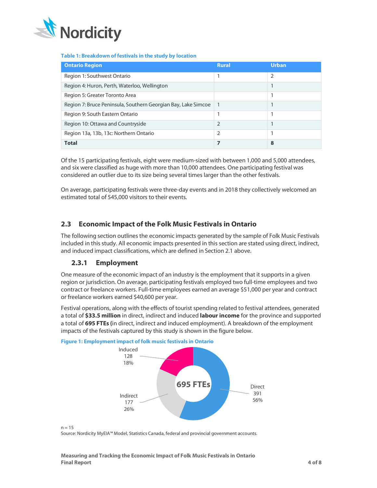

#### **Table 1: Breakdown of festivals in the study by location**

| <b>Ontario Region</b>                                         | <b>Rural</b>   | Urban |
|---------------------------------------------------------------|----------------|-------|
| Region 1: Southwest Ontario                                   |                | 2     |
| Region 4: Huron, Perth, Waterloo, Wellington                  |                |       |
| Region 5: Greater Toronto Area                                |                |       |
| Region 7: Bruce Peninsula, Southern Georgian Bay, Lake Simcoe |                |       |
| Region 9: South Eastern Ontario                               |                |       |
| Region 10: Ottawa and Countryside                             | $\mathfrak{D}$ |       |
| Region 13a, 13b, 13c: Northern Ontario                        | 2              |       |
| <b>Total</b>                                                  |                | 8     |

Of the 15 participating festivals, eight were medium-sized with between 1,000 and 5,000 attendees, and six were classified as huge with more than 10,000 attendees. One participating festival was considered an outlier due to its size being several times larger than the other festivals.

On average, participating festivals were three-day events and in 2018 they collectively welcomed an estimated total of 545,000 visitors to their events.

## **2.3 Economic Impact of the Folk Music Festivals in Ontario**

The following section outlines the economic impacts generated by the sample of Folk Music Festivals included in this study. All economic impacts presented in this section are stated using direct, indirect, and induced impact classifications, which are defined in Section 2.1 above.

## **2.3.1 Employment**

One measure of the economic impact of an industry is the employment that it supports in a given region or jurisdiction. On average, participating festivals employed two full-time employees and two contract or freelance workers. Full-time employees earned an average \$51,000 per year and contract or freelance workers earned \$40,600 per year.

Festival operations, along with the effects of tourist spending related to festival attendees, generated a total of **\$33.5 million** in direct, indirect and induced **labour income** for the province and supported a total of **695 FTEs (**in direct, indirect and induced employment). A breakdown of the employment impacts of the festivals captured by this study is shown in the figure below.



**Figure 1: Employment impact of folk music festivals in Ontario**

 $n = 15$ 

Source: Nordicity MyEIA™ Model, Statistics Canada, federal and provincial government accounts.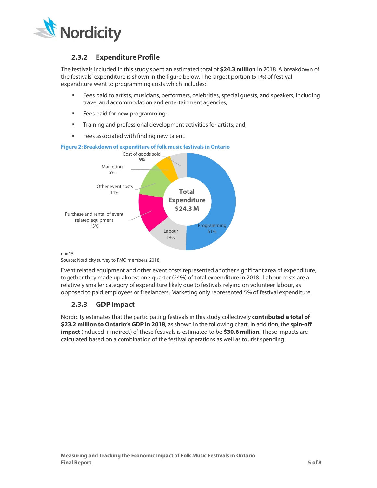

## **2.3.2 Expenditure Profile**

The festivals included in this study spent an estimated total of **\$24.3 million** in 2018. A breakdown of the festivals' expenditure is shown in the figure below. The largest portion (51%) of festival expenditure went to programming costs which includes:

- **Fees paid to artists, musicians, performers, celebrities, special quests, and speakers, including** travel and accommodation and entertainment agencies;
- **Fees paid for new programming;**
- **Training and professional development activities for artists; and,**
- **Fees associated with finding new talent.**



**Figure 2: Breakdown of expenditure of folk music festivals in Ontario**

#### $n = 15$

Source: Nordicity survey to FMO members, 2018

Event related equipment and other event costs represented another significant area of expenditure, together they made up almost one quarter (24%) of total expenditure in 2018. Labour costs are a relatively smaller category of expenditure likely due to festivals relying on volunteer labour, as opposed to paid employees or freelancers. Marketing only represented 5% of festival expenditure.

## **2.3.3 GDP Impact**

Nordicity estimates that the participating festivals in this study collectively **contributed a total of \$23.2 million to Ontario's GDP in 2018**, as shown in the following chart. In addition, the **spin-off impact** (induced + indirect) of these festivals is estimated to be **\$30.6 million**. These impacts are calculated based on a combination of the festival operations as well as tourist spending.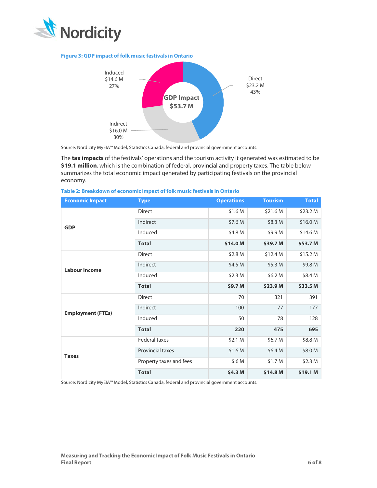

#### **Figure 3: GDP impact of folk music festivals in Ontario**



Source: Nordicity MyEIA™ Model, Statistics Canada, federal and provincial government accounts.

The **tax impacts** of the festivals' operations and the tourism activity it generated was estimated to be **\$19.1 million**, which is the combination of federal, provincial and property taxes. The table below summarizes the total economic impact generated by participating festivals on the provincial economy.

| <b>Economic Impact</b>   | <b>Type</b>             | <b>Operations</b> | <b>Tourism</b> | <b>Total</b> |
|--------------------------|-------------------------|-------------------|----------------|--------------|
| <b>GDP</b>               | <b>Direct</b>           | \$1.6 M           | \$21.6 M       | \$23.2 M     |
|                          | Indirect                | \$7.6 M           | \$8.3 M        | \$16.0 M     |
|                          | Induced                 | \$4.8 M           | \$9.9 M        | \$14.6 M     |
|                          | <b>Total</b>            | \$14.0 M          | \$39.7 M       | \$53.7 M     |
| <b>Labour Income</b>     | <b>Direct</b>           | \$2.8 M           | \$12.4 M       | \$15.2 M     |
|                          | Indirect                | \$4.5 M           | \$5.3 M        | \$9.8 M      |
|                          | Induced                 | \$2.3 M           | \$6.2 M        | \$8.4 M      |
|                          | <b>Total</b>            | \$9.7 M           | \$23.9 M       | \$33.5 M     |
| <b>Employment (FTEs)</b> | <b>Direct</b>           | 70                | 321            | 391          |
|                          | Indirect                | 100               | 77             | 177          |
|                          | Induced                 | 50                | 78             | 128          |
|                          | <b>Total</b>            | 220               | 475            | 695          |
| <b>Taxes</b>             | <b>Federal taxes</b>    | \$2.1 M           | \$6.7 M        | \$8.8 M      |
|                          | Provincial taxes        | \$1.6 M           | \$6.4 M        | \$8.0 M      |
|                          | Property taxes and fees | \$.6 M            | \$1.7 M        | \$2.3 M      |
|                          | <b>Total</b>            | \$4.3 M           | \$14.8 M       | \$19.1 M     |

**Table 2: Breakdown of economic impact of folk music festivals in Ontario**

Source: Nordicity MyEIA™ Model, Statistics Canada, federal and provincial government accounts.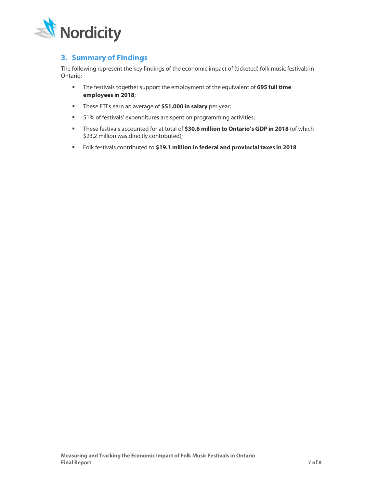

# **3. Summary of Findings**

The following represent the key findings of the economic impact of (ticketed) folk music festivals in Ontario:

- The festivals together support the employment of the equivalent of **695 full time employees in 2018**;
- These FTEs earn an average of **\$51,000 in salary** per year;
- **51% of festivals' expenditures are spent on programming activities;**
- These festivals accounted for at total of **\$30.6 million to Ontario's GDP in 2018** (of which \$23.2 million was directly contributed);
- Folk festivals contributed to **\$19.1 million in federal and provincial taxes in 2018**.